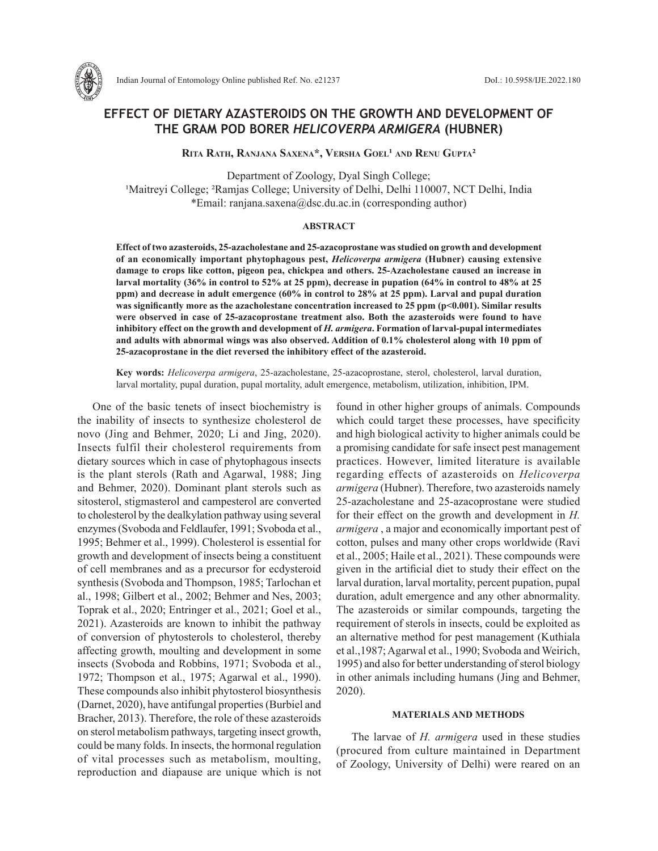

# **EFFECT OF DIETARY AZASTEROIDS ON THE GROWTH AND DEVELOPMENT OF THE GRAM POD BORER** *HELICOVERPA ARMIGERA* **(HUBNER)**

**Rita Rath, Ranjana Saxena\*, Versha Goel¹ and Renu Gupta²**

Department of Zoology, Dyal Singh College; <sup>1</sup>Maitreyi College; <sup>2</sup>Ramjas College; University of Delhi, Delhi 110007, NCT Delhi, India \*Email: ranjana.saxena@dsc.du.ac.in (corresponding author)

#### **ABSTRACT**

**Effect of two azasteroids, 25-azacholestane and 25-azacoprostane was studied on growth and development of an economically important phytophagous pest,** *Helicoverpa armigera* **(Hubner) causing extensive damage to crops like cotton, pigeon pea, chickpea and others. 25-Azacholestane caused an increase in larval mortality (36% in control to 52% at 25 ppm), decrease in pupation (64% in control to 48% at 25 ppm) and decrease in adult emergence (60% in control to 28% at 25 ppm). Larval and pupal duration**  was significantly more as the azacholestane concentration increased to 25 ppm (p<0.001). Similar results **were observed in case of 25-azacoprostane treatment also. Both the azasteroids were found to have inhibitory effect on the growth and development of** *H. armigera***. Formation of larval-pupal intermediates and adults with abnormal wings was also observed. Addition of 0.1% cholesterol along with 10 ppm of 25-azacoprostane in the diet reversed the inhibitory effect of the azasteroid.** 

**Key words:** *Helicoverpa armigera*, 25-azacholestane, 25-azacoprostane, sterol, cholesterol, larval duration, larval mortality, pupal duration, pupal mortality, adult emergence, metabolism, utilization, inhibition, IPM.

One of the basic tenets of insect biochemistry is the inability of insects to synthesize cholesterol de novo (Jing and Behmer, 2020; Li and Jing, 2020). Insects fulfil their cholesterol requirements from dietary sources which in case of phytophagous insects is the plant sterols (Rath and Agarwal, 1988; Jing and Behmer, 2020). Dominant plant sterols such as sitosterol, stigmasterol and campesterol are converted to cholesterol by the dealkylation pathway using several enzymes (Svoboda and Feldlaufer, 1991; Svoboda et al., 1995; Behmer et al., 1999). Cholesterol is essential for growth and development of insects being a constituent of cell membranes and as a precursor for ecdysteroid synthesis (Svoboda and Thompson, 1985; Tarlochan et al., 1998; Gilbert et al., 2002; Behmer and Nes, 2003; Toprak et al., 2020; Entringer et al., 2021; Goel et al., 2021). Azasteroids are known to inhibit the pathway of conversion of phytosterols to cholesterol, thereby affecting growth, moulting and development in some insects (Svoboda and Robbins, 1971; Svoboda et al., 1972; Thompson et al., 1975; Agarwal et al., 1990). These compounds also inhibit phytosterol biosynthesis (Darnet, 2020), have antifungal properties (Burbiel and Bracher, 2013). Therefore, the role of these azasteroids on sterol metabolism pathways, targeting insect growth, could be many folds. In insects, the hormonal regulation of vital processes such as metabolism, moulting, reproduction and diapause are unique which is not found in other higher groups of animals. Compounds which could target these processes, have specificity and high biological activity to higher animals could be a promising candidate for safe insect pest management practices. However, limited literature is available regarding effects of azasteroids on *Helicoverpa armigera* (Hubner). Therefore, two azasteroids namely 25-azacholestane and 25-azacoprostane were studied for their effect on the growth and development in *H. armigera* , a major and economically important pest of cotton, pulses and many other crops worldwide (Ravi et al., 2005; Haile et al., 2021). These compounds were given in the artificial diet to study their effect on the larval duration, larval mortality, percent pupation, pupal duration, adult emergence and any other abnormality. The azasteroids or similar compounds, targeting the requirement of sterols in insects, could be exploited as an alternative method for pest management (Kuthiala et al.,1987; Agarwal et al., 1990; Svoboda and Weirich, 1995) and also for better understanding of sterol biology in other animals including humans (Jing and Behmer, 2020).

#### **MATERIALS AND METHODS**

The larvae of *H. armigera* used in these studies (procured from culture maintained in Department of Zoology, University of Delhi) were reared on an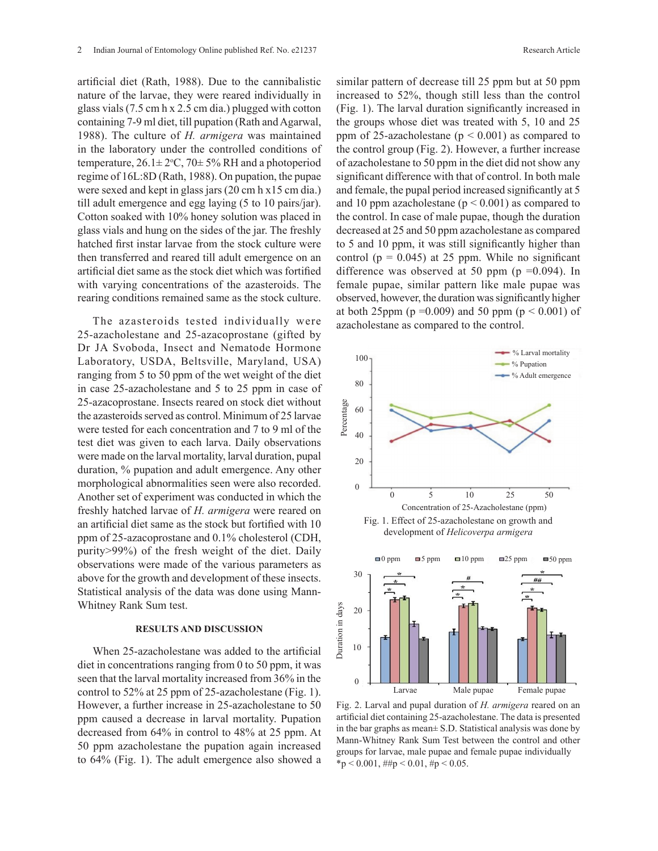artificial diet (Rath, 1988). Due to the cannibalistic nature of the larvae, they were reared individually in glass vials (7.5 cm h x 2.5 cm dia.) plugged with cotton containing 7-9 ml diet, till pupation (Rath and Agarwal, 1988). The culture of *H. armigera* was maintained in the laboratory under the controlled conditions of temperature,  $26.1 \pm 2$ °C,  $70 \pm 5$ % RH and a photoperiod regime of 16L:8D (Rath, 1988). On pupation, the pupae were sexed and kept in glass jars (20 cm h x15 cm dia.) till adult emergence and egg laying (5 to 10 pairs/jar). Cotton soaked with 10% honey solution was placed in glass vials and hung on the sides of the jar. The freshly hatched first instar larvae from the stock culture were then transferred and reared till adult emergence on an artificial diet same as the stock diet which was fortified with varying concentrations of the azasteroids. The rearing conditions remained same as the stock culture.

The azasteroids tested individually were 25-azacholestane and 25-azacoprostane (gifted by Dr JA Svoboda, Insect and Nematode Hormone Laboratory, USDA, Beltsville, Maryland, USA) ranging from 5 to 50 ppm of the wet weight of the diet in case 25-azacholestane and 5 to 25 ppm in case of 25-azacoprostane. Insects reared on stock diet without the azasteroids served as control. Minimum of 25 larvae were tested for each concentration and 7 to 9 ml of the test diet was given to each larva. Daily observations were made on the larval mortality, larval duration, pupal duration, % pupation and adult emergence. Any other morphological abnormalities seen were also recorded. Another set of experiment was conducted in which the freshly hatched larvae of *H. armigera* were reared on an artificial diet same as the stock but fortified with 10 ppm of 25-azacoprostane and 0.1% cholesterol (CDH, purity>99%) of the fresh weight of the diet. Daily observations were made of the various parameters as above for the growth and development of these insects. Statistical analysis of the data was done using Mann-Whitney Rank Sum test.

### **RESULTS AND DISCUSSION**

When 25-azacholestane was added to the artificial diet in concentrations ranging from 0 to 50 ppm, it was seen that the larval mortality increased from 36% in the control to 52% at 25 ppm of 25-azacholestane (Fig. 1). However, a further increase in 25-azacholestane to 50 ppm caused a decrease in larval mortality. Pupation decreased from 64% in control to 48% at 25 ppm. At 50 ppm azacholestane the pupation again increased to 64% (Fig. 1). The adult emergence also showed a

similar pattern of decrease till 25 ppm but at 50 ppm increased to 52%, though still less than the control (Fig. 1). The larval duration significantly increased in the groups whose diet was treated with 5, 10 and 25 ppm of 25-azacholestane ( $p < 0.001$ ) as compared to the control group (Fig. 2). However, a further increase of azacholestane to 50 ppm in the diet did not show any significant difference with that of control. In both male and female, the pupal period increased significantly at 5 and 10 ppm azacholestane ( $p < 0.001$ ) as compared to the control. In case of male pupae, though the duration decreased at 25 and 50 ppm azacholestane as compared to 5 and 10 ppm, it was still significantly higher than control ( $p = 0.045$ ) at 25 ppm. While no significant difference was observed at 50 ppm ( $p = 0.094$ ). In female pupae, similar pattern like male pupae was observed, however, the duration was significantly higher at both 25ppm ( $p = 0.009$ ) and 50 ppm ( $p \le 0.001$ ) of azacholestane as compared to the control.





Fig. 2. Larval and pupal duration of *H. armigera* reared on an artificial diet containing 25-azacholestane. The data is presented in the bar graphs as mean± S.D. Statistical analysis was done by Mann-Whitney Rank Sum Test between the control and other groups for larvae, male pupae and female pupae individually  $*p < 0.001$ ,  $\#tp < 0.01$ ,  $\#p < 0.05$ .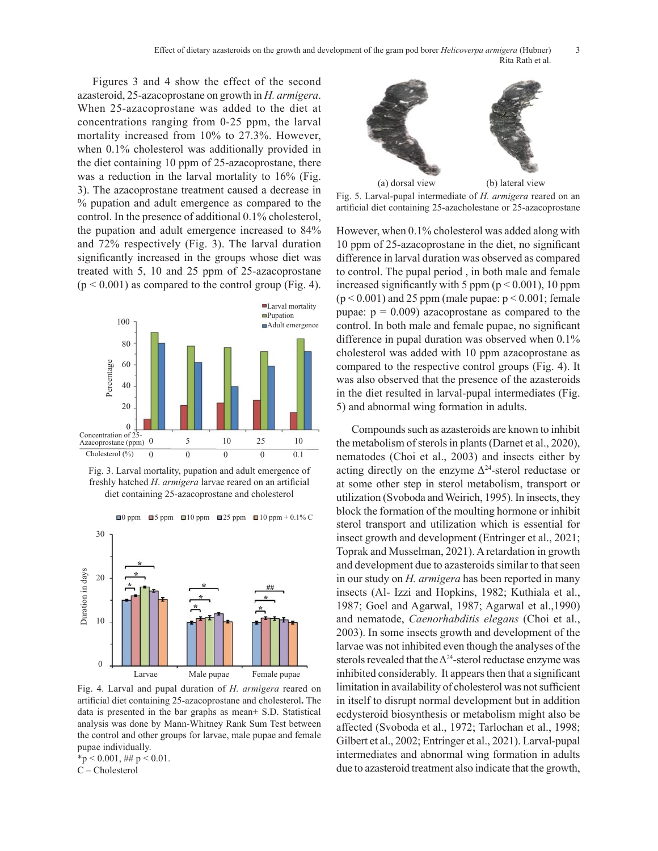Effect of dietary azasteroids on the growth and development of the gram pod borer *Helicoverpa armigera* (Hubner) 3 Rita Rath et al.

Figures 3 and 4 show the effect of the second azasteroid, 25-azacoprostane on growth in *H. armigera*. When 25-azacoprostane was added to the diet at concentrations ranging from 0-25 ppm, the larval mortality increased from 10% to 27.3%. However, when 0.1% cholesterol was additionally provided in the diet containing 10 ppm of 25-azacoprostane, there was a reduction in the larval mortality to 16% (Fig. 3). The azacoprostane treatment caused a decrease in % pupation and adult emergence as compared to the control. In the presence of additional 0.1% cholesterol, the pupation and adult emergence increased to 84% and 72% respectively (Fig. 3). The larval duration significantly increased in the groups whose diet was treated with 5, 10 and 25 ppm of 25-azacoprostane  $(p < 0.001)$  as compared to the control group (Fig. 4).



Fig. 3. Larval mortality, pupation and adult emergence of freshly hatched *H*. *armigera* larvae reared on an artificial diet containing 25-azacoprostane and cholesterol

 $\Box$ 0 ppm  $\Box$ 5 ppm  $\Box$ 10 ppm  $\Box$ 10 ppm + 0.1% C



Fig. 4. Larval and pupal duration of *H. armigera* reared on artificial diet containing 25-azacoprostane and cholesterol**.** The data is presented in the bar graphs as mean± S.D. Statistical analysis was done by Mann-Whitney Rank Sum Test between the control and other groups for larvae, male pupae and female pupae individually.

 $*$ p < 0.001, ## p < 0.01. C – Cholesterol



e in<br>Fig. 5. Larval-pupal intermediate of *H. armigera* reared on an artificial diet containing 25-azacholestane or 25-azacoprostane

However, when  $0.1\%$  cholesterol was added along with  $10$  $10 \text{ ppm}$  of 25-azacoprostane in the diet, no significant  $10 \text{ ppm}$  of 25-azacoprostane in the diet, no significant  $\frac{1}{10}$  b) ppm or 25-azacoprostane in the diet, no significant was difference in larval duration was observed as compared to control. The pupal period , in both male and female increased significantly with 5 ppm  $(p < 0.001)$ , 10 ppm  $(p < 0.001)$  and 25 ppm (male pupae:  $p < 0.001$ ; female pupae:  $p = 0.009$ ) azacoprostane as compared to the control. In both male and female pupae, no significant difference in pupal duration was observed when 0.1% cholesterol was added with 10 ppm azacoprostane as compared to the respective control groups (Fig. 4). It was also observed that the presence of the azasteroids in the diet resulted in larval-pupal intermediates (Fig. 5) and abnormal wing formation in adults. Fig. 5. Larval-pupal intermediate of *H. armigera* reared on an Fig. 5. Larval-pupal intermediate of *H. armigera* reared on an

Compounds such as azasteroids are known to inhibit the metabolism of sterols in plants (Darnet et al., 2020), nematodes (Choi et al., 2003) and insects either by acting directly on the enzyme  $\Delta^{24}$ -sterol reductase or at some other step in sterol metabolism, transport or utilization (Svoboda and Weirich, 1995). In insects, they block the formation of the moulting hormone or inhibit sterol transport and utilization which is essential for insect growth and development (Entringer et al., 2021; Toprak and Musselman, 2021). A retardation in growth and development due to azasteroids similar to that seen in our study on *H. armigera* has been reported in many insects (Al- Izzi and Hopkins, 1982; Kuthiala et al., 1987; Goel and Agarwal, 1987; Agarwal et al.,1990) and nematode, *Caenorhabditis elegans* (Choi et al., 2003). In some insects growth and development of the larvae was not inhibited even though the analyses of the sterols revealed that the  $\Delta^{24}$ -sterol reductase enzyme was inhibited considerably. It appears then that a significant limitation in availability of cholesterol was not sufficient in itself to disrupt normal development but in addition ecdysteroid biosynthesis or metabolism might also be affected (Svoboda et al., 1972; Tarlochan et al., 1998; Gilbert et al., 2002; Entringer et al., 2021). Larval-pupal intermediates and abnormal wing formation in adults due to azasteroid treatment also indicate that the growth,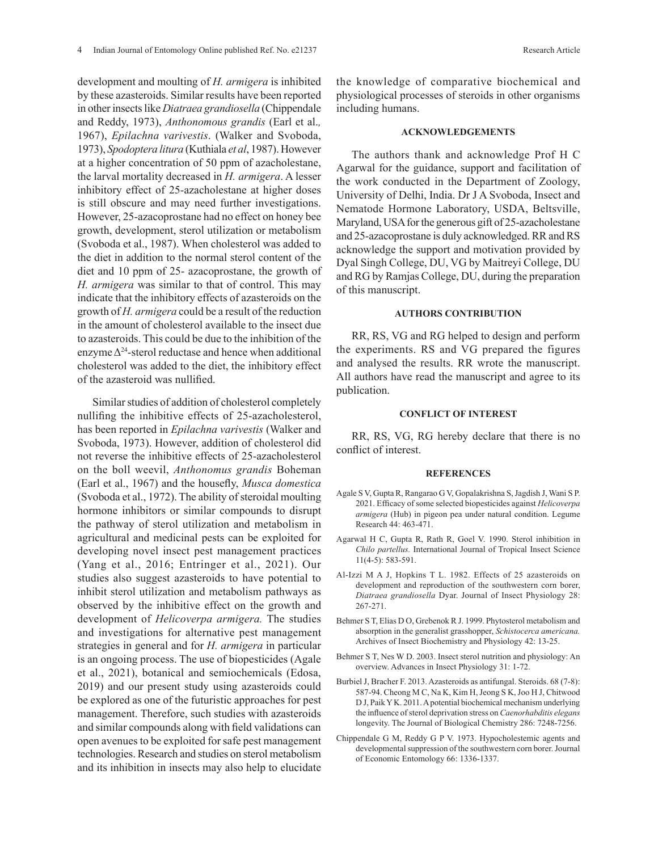development and moulting of *H. armigera* is inhibited by these azasteroids. Similar results have been reported in other insects like *Diatraea grandiosella* (Chippendale and Reddy, 1973), *Anthonomous grandis* (Earl et al.*,* 1967), *Epilachna varivestis*. (Walker and Svoboda, 1973), *Spodoptera litura* (Kuthiala *et al*, 1987). However at a higher concentration of 50 ppm of azacholestane, the larval mortality decreased in *H. armigera*. A lesser inhibitory effect of 25-azacholestane at higher doses is still obscure and may need further investigations. However, 25-azacoprostane had no effect on honey bee growth, development, sterol utilization or metabolism (Svoboda et al., 1987). When cholesterol was added to the diet in addition to the normal sterol content of the diet and 10 ppm of 25- azacoprostane, the growth of *H. armigera* was similar to that of control. This may indicate that the inhibitory effects of azasteroids on the growth of *H. armigera* could be a result of the reduction in the amount of cholesterol available to the insect due to azasteroids. This could be due to the inhibition of the enzyme  $\Delta^{24}$ -sterol reductase and hence when additional cholesterol was added to the diet, the inhibitory effect of the azasteroid was nullified.

Similar studies of addition of cholesterol completely nullifing the inhibitive effects of 25-azacholesterol, has been reported in *Epilachna varivestis* (Walker and Svoboda, 1973). However, addition of cholesterol did not reverse the inhibitive effects of 25-azacholesterol on the boll weevil, *Anthonomus grandis* Boheman (Earl et al., 1967) and the housefly, *Musca domestica* (Svoboda et al., 1972). The ability of steroidal moulting hormone inhibitors or similar compounds to disrupt the pathway of sterol utilization and metabolism in agricultural and medicinal pests can be exploited for developing novel insect pest management practices (Yang et al., 2016; Entringer et al., 2021). Our studies also suggest azasteroids to have potential to inhibit sterol utilization and metabolism pathways as observed by the inhibitive effect on the growth and development of *Helicoverpa armigera.* The studies and investigations for alternative pest management strategies in general and for *H. armigera* in particular is an ongoing process. The use of biopesticides (Agale et al., 2021), botanical and semiochemicals (Edosa, 2019) and our present study using azasteroids could be explored as one of the futuristic approaches for pest management. Therefore, such studies with azasteroids and similar compounds along with field validations can open avenues to be exploited for safe pest management technologies. Research and studies on sterol metabolism and its inhibition in insects may also help to elucidate

### **ACKNOWLEDGEMENTS**

The authors thank and acknowledge Prof H C Agarwal for the guidance, support and facilitation of the work conducted in the Department of Zoology, University of Delhi, India. Dr J A Svoboda, Insect and Nematode Hormone Laboratory, USDA, Beltsville, Maryland, USA for the generous gift of 25-azacholestane and 25-azacoprostane is duly acknowledged. RR and RS acknowledge the support and motivation provided by Dyal Singh College, DU, VG by Maitreyi College, DU and RG by Ramjas College, DU, during the preparation of this manuscript.

# **AUTHORS CONTRIBUTION**

RR, RS, VG and RG helped to design and perform the experiments. RS and VG prepared the figures and analysed the results. RR wrote the manuscript. All authors have read the manuscript and agree to its publication.

## **CONFLICT OF INTEREST**

RR, RS, VG, RG hereby declare that there is no conflict of interest.

#### **REFERENCES**

- Agale S V, Gupta R, Rangarao G V, Gopalakrishna S, Jagdish J, Wani S P. 2021. Efficacy of some selected biopesticides against *Helicoverpa armigera* (Hub) in pigeon pea under natural condition. Legume Research 44: 463-471.
- Agarwal H C, Gupta R, Rath R, Goel V. 1990. Sterol inhibition in *Chilo partellus.* International Journal of Tropical Insect Science 11(4-5): 583-591.
- Al-Izzi M A J, Hopkins T L. 1982. Effects of 25 azasteroids on development and reproduction of the southwestern corn borer, *Diatraea grandiosella* Dyar. Journal of Insect Physiology 28: 267-271.
- Behmer S T, Elias D O, Grebenok R J. 1999. Phytosterol metabolism and absorption in the generalist grasshopper, *Schistocerca americana.*  Archives of Insect Biochemistry and Physiology 42: 13-25.
- Behmer S T, Nes W D. 2003. Insect sterol nutrition and physiology: An overview. Advances in Insect Physiology 31: 1-72.
- Burbiel J, Bracher F. 2013. Azasteroids as antifungal. Steroids. 68 (7-8): 587-94. Cheong M C, Na K, Kim H, Jeong S K, Joo H J, Chitwood D J, Paik Y K. 2011. A potential biochemical mechanism underlying the influence of sterol deprivation stress on *Caenorhabditis elegans* longevity. The Journal of Biological Chemistry 286: 7248-7256.
- Chippendale G M, Reddy G P V. 1973. Hypocholestemic agents and developmental suppression of the southwestern corn borer. Journal of Economic Entomology 66: 1336-1337.